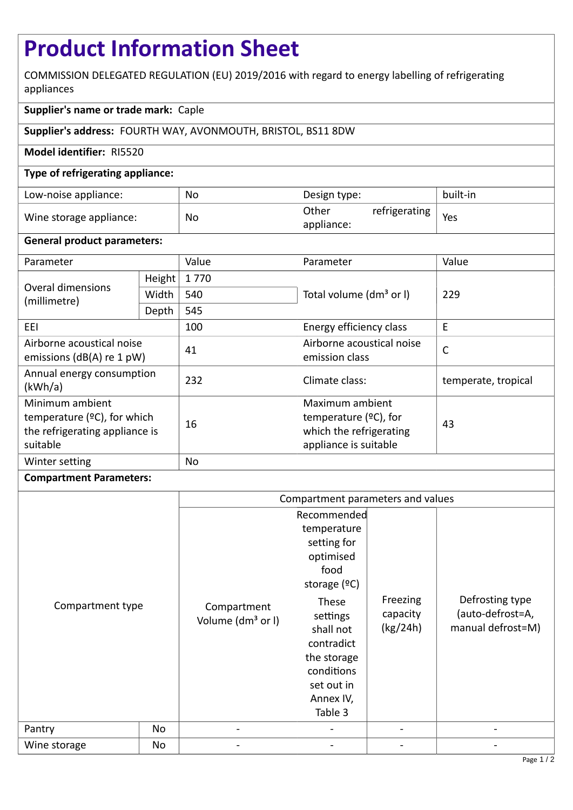# **Product Information Sheet**

COMMISSION DELEGATED REGULATION (EU) 2019/2016 with regard to energy labelling of refrigerating appliances

## **Supplier's name or trade mark:** Caple

### **Supplier's address:** FOURTH WAY, AVONMOUTH, BRISTOL, BS11 8DW

#### **Model identifier:** RI5520

#### **Type of refrigerating appliance:**

| Low-noise appliance:    | No | Design type:                         | built-in |
|-------------------------|----|--------------------------------------|----------|
| Wine storage appliance: | No | Other<br>refrigerating<br>appliance: | Yes      |

#### **General product parameters:**

| Parameter                                                                                       |        | Value | Parameter                                                                                       | Value               |  |
|-------------------------------------------------------------------------------------------------|--------|-------|-------------------------------------------------------------------------------------------------|---------------------|--|
| Overal dimensions<br>(millimetre)                                                               | Height | 1770  |                                                                                                 | 229                 |  |
|                                                                                                 | Width  | 540   | Total volume (dm <sup>3</sup> or I)                                                             |                     |  |
|                                                                                                 | Depth  | 545   |                                                                                                 |                     |  |
| EEI                                                                                             |        | 100   | Energy efficiency class                                                                         | E                   |  |
| Airborne acoustical noise<br>emissions ( $dB(A)$ re 1 pW)                                       |        | 41    | Airborne acoustical noise<br>emission class                                                     | $\mathsf{C}$        |  |
| Annual energy consumption<br>(kWh/a)                                                            |        | 232   | Climate class:                                                                                  | temperate, tropical |  |
| Minimum ambient<br>temperature $(2C)$ , for which<br>the refrigerating appliance is<br>suitable |        | 16    | Maximum ambient<br>temperature $(2C)$ , for<br>which the refrigerating<br>appliance is suitable | 43                  |  |
| Winter setting                                                                                  |        | No    |                                                                                                 |                     |  |

#### **Compartment Parameters:**

|                  |    | Compartment parameters and values            |                                                                                                                 |                                  |                                                          |
|------------------|----|----------------------------------------------|-----------------------------------------------------------------------------------------------------------------|----------------------------------|----------------------------------------------------------|
|                  |    |                                              | Recommended                                                                                                     |                                  |                                                          |
|                  |    |                                              | temperature<br>setting for<br>optimised<br>food<br>storage $(°C)$                                               |                                  |                                                          |
| Compartment type |    | Compartment<br>Volume (dm <sup>3</sup> or I) | These<br>settings<br>shall not<br>contradict<br>the storage<br>conditions<br>set out in<br>Annex IV,<br>Table 3 | Freezing<br>capacity<br>(kg/24h) | Defrosting type<br>(auto-defrost=A,<br>manual defrost=M) |
| Pantry           | No | $\qquad \qquad \blacksquare$                 |                                                                                                                 |                                  |                                                          |
| Wine storage     | No |                                              |                                                                                                                 |                                  |                                                          |